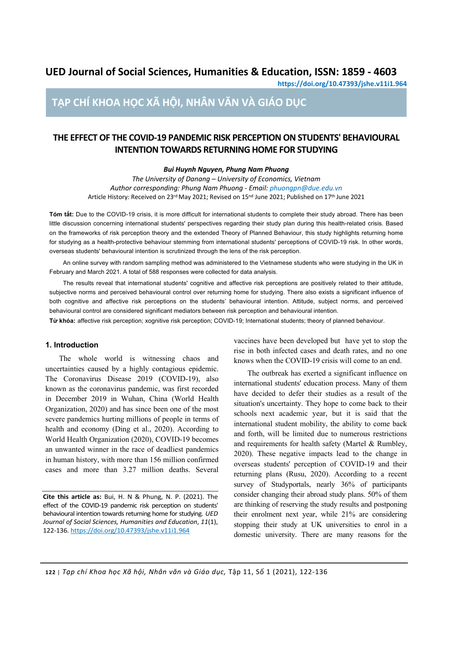# **UED Journal of Social Sciences, Humanities & Education, ISSN: 1859 - 4603**

**https://doi.org/10.47393/jshe.v11i1.964**

# **TẠP CHÍ KHOA HỌC XÃ HỘI, NHÂN VĂN VÀ GIÁO DỤC**

# **THE EFFECT OF THE COVID-19 PANDEMIC RISK PERCEPTION ON STUDENTS' BEHAVIOURAL INTENTION TOWARDS RETURNING HOME FOR STUDYING**

*Bui Huynh Nguyen, Phung Nam Phuong*

*The University of Danang – University of Economics, Vietnam Author corresponding: Phung Nam Phuong - Email: phuongpn@due.edu.vn* Article History: Received on 23rd May 2021; Revised on 15nd June 2021; Published on 17th June 2021

**Tóm tắt:** Due to the COVID-19 crisis, it is more difficult for international students to complete their study abroad. There has been little discussion concerning international students' perspectives regarding their study plan during this health-related crisis. Based on the frameworks of risk perception theory and the extended Theory of Planned Behaviour, this study highlights returning home for studying as a health-protective behaviour stemming from international students' perceptions of COVID-19 risk. In other words, overseas students' behavioural intention is scrutinized through the lens of the risk perception.

An online survey with random sampling method was administered to the Vietnamese students who were studying in the UK in February and March 2021. A total of 588 responses were collected for data analysis.

The results reveal that international students' cognitive and affective risk perceptions are positively related to their attitude, subjective norms and perceived behavioural control over returning home for studying. There also exists a significant influence of both cognitive and affective risk perceptions on the students' behavioural intention. Attitude, subject norms, and perceived behavioural control are considered significant mediators between risk perception and behavioural intention.

**Từ khóa:** affective risk perception; xognitive risk perception; COVID-19; International students; theory of planned behaviour.

#### **1. Introduction**

The whole world is witnessing chaos and uncertainties caused by a highly contagious epidemic. The Coronavirus Disease 2019 (COVID-19), also known as the coronavirus pandemic, was first recorded in December 2019 in Wuhan, China (World Health Organization, 2020) and has since been one of the most severe pandemics hurting millions of people in terms of health and economy (Ding et al., 2020). According to World Health Organization (2020), COVID-19 becomes an unwanted winner in the race of deadliest pandemics in human history, with more than 156 million confirmed cases and more than 3.27 million deaths. Several

**Cite this article as:** Bui, H. N & Phung, N. P. (2021). The effect of the COVID-19 pandemic risk perception on students' behavioural intention towards returning home for studying. *UED Journal of Social Sciences, Humanities and Education*, *11*(1), 122-136. https://doi.org/10.47393/jshe.v11i1.964

vaccines have been developed but have yet to stop the rise in both infected cases and death rates, and no one knows when the COVID-19 crisis will come to an end.

The outbreak has exerted a significant influence on international students' education process. Many of them have decided to defer their studies as a result of the situation's uncertainty. They hope to come back to their schools next academic year, but it is said that the international student mobility, the ability to come back and forth, will be limited due to numerous restrictions and requirements for health safety (Martel & Rumbley, 2020). These negative impacts lead to the change in overseas students' perception of COVID-19 and their returning plans (Rusu, 2020). According to a recent survey of Studyportals, nearly 36% of participants consider changing their abroad study plans. 50% of them are thinking of reserving the study results and postponing their enrolment next year, while 21% are considering stopping their study at UK universities to enrol in a domestic university. There are many reasons for the

**122** | *Tạp chí Khoa học Xã hội, Nhân văn và Giáo dục,* Tập 11, Số 1 (2021), 122-136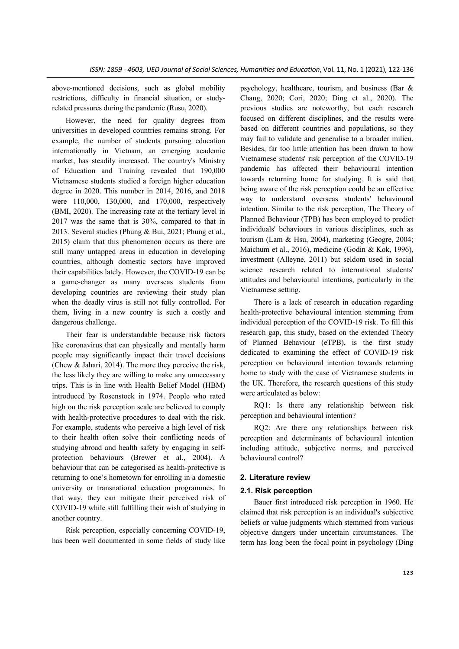above-mentioned decisions, such as global mobility restrictions, difficulty in financial situation, or studyrelated pressures during the pandemic (Rusu, 2020).

However, the need for quality degrees from universities in developed countries remains strong. For example, the number of students pursuing education internationally in Vietnam, an emerging academic market, has steadily increased. The country's Ministry of Education and Training revealed that 190,000 Vietnamese students studied a foreign higher education degree in 2020. This number in 2014, 2016, and 2018 were 110,000, 130,000, and 170,000, respectively (BMI, 2020). The increasing rate at the tertiary level in 2017 was the same that is 30%, compared to that in 2013. Several studies (Phung & Bui, 2021; Phung et al., 2015) claim that this phenomenon occurs as there are still many untapped areas in education in developing countries, although domestic sectors have improved their capabilities lately. However, the COVID-19 can be a game-changer as many overseas students from developing countries are reviewing their study plan when the deadly virus is still not fully controlled. For them, living in a new country is such a costly and dangerous challenge.

Their fear is understandable because risk factors like coronavirus that can physically and mentally harm people may significantly impact their travel decisions (Chew & Jahari, 2014). The more they perceive the risk, the less likely they are willing to make any unnecessary trips. This is in line with Health Belief Model (HBM) introduced by Rosenstock in 1974. People who rated high on the risk perception scale are believed to comply with health-protective procedures to deal with the risk. For example, students who perceive a high level of risk to their health often solve their conflicting needs of studying abroad and health safety by engaging in selfprotection behaviours (Brewer et al., 2004). A behaviour that can be categorised as health-protective is returning to one's hometown for enrolling in a domestic university or transnational education programmes. In that way, they can mitigate their perceived risk of COVID-19 while still fulfilling their wish of studying in another country.

Risk perception, especially concerning COVID-19, has been well documented in some fields of study like psychology, healthcare, tourism, and business (Bar & Chang, 2020; Cori, 2020; Ding et al., 2020). The previous studies are noteworthy, but each research focused on different disciplines, and the results were based on different countries and populations, so they may fail to validate and generalise to a broader milieu. Besides, far too little attention has been drawn to how Vietnamese students' risk perception of the COVID-19 pandemic has affected their behavioural intention towards returning home for studying. It is said that being aware of the risk perception could be an effective way to understand overseas students' behavioural intention. Similar to the risk perception, The Theory of Planned Behaviour (TPB) has been employed to predict individuals' behaviours in various disciplines, such as tourism (Lam & Hsu, 2004), marketing (Geogre, 2004; Maichum et al., 2016), medicine (Godin & Kok, 1996), investment (Alleyne, 2011) but seldom used in social science research related to international students' attitudes and behavioural intentions, particularly in the Vietnamese setting.

There is a lack of research in education regarding health-protective behavioural intention stemming from individual perception of the COVID-19 risk. To fill this research gap, this study, based on the extended Theory of Planned Behaviour (eTPB), is the first study dedicated to examining the effect of COVID-19 risk perception on behavioural intention towards returning home to study with the case of Vietnamese students in the UK. Therefore, the research questions of this study were articulated as below:

RQ1: Is there any relationship between risk perception and behavioural intention?

RQ2: Are there any relationships between risk perception and determinants of behavioural intention including attitude, subjective norms, and perceived behavioural control?

# **2. Literature review**

# **2.1. Risk perception**

Bauer first introduced risk perception in 1960. He claimed that risk perception is an individual's subjective beliefs or value judgments which stemmed from various objective dangers under uncertain circumstances. The term has long been the focal point in psychology (Ding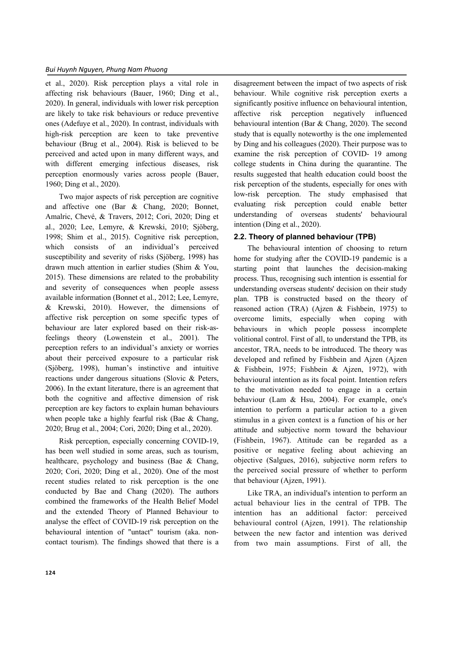et al., 2020). Risk perception plays a vital role in affecting risk behaviours (Bauer, 1960; Ding et al., 2020). In general, individuals with lower risk perception are likely to take risk behaviours or reduce preventive ones (Adefuye et al., 2020). In contrast, individuals with high-risk perception are keen to take preventive behaviour (Brug et al., 2004). Risk is believed to be perceived and acted upon in many different ways, and with different emerging infectious diseases, risk perception enormously varies across people (Bauer, 1960; Ding et al., 2020).

Two major aspects of risk perception are cognitive and affective one (Bar & Chang, 2020; Bonnet, Amalric, Chevé, & Travers, 2012; Cori, 2020; Ding et al., 2020; Lee, Lemyre, & Krewski, 2010; Sjöberg, 1998; Shim et al., 2015). Cognitive risk perception, which consists of an individual's perceived susceptibility and severity of risks (Sjöberg, 1998) has drawn much attention in earlier studies (Shim & You, 2015). These dimensions are related to the probability and severity of consequences when people assess available information (Bonnet et al., 2012; Lee, Lemyre, & Krewski, 2010). However, the dimensions of affective risk perception on some specific types of behaviour are later explored based on their risk-asfeelings theory (Lowenstein et al., 2001). The perception refers to an individual's anxiety or worries about their perceived exposure to a particular risk (Sjöberg, 1998), human's instinctive and intuitive reactions under dangerous situations (Slovic & Peters, 2006). In the extant literature, there is an agreement that both the cognitive and affective dimension of risk perception are key factors to explain human behaviours when people take a highly fearful risk (Bae & Chang, 2020; Brug et al., 2004; Cori, 2020; Ding et al., 2020).

Risk perception, especially concerning COVID-19, has been well studied in some areas, such as tourism, healthcare, psychology and business (Bae & Chang, 2020; Cori, 2020; Ding et al., 2020). One of the most recent studies related to risk perception is the one conducted by Bae and Chang (2020). The authors combined the frameworks of the Health Belief Model and the extended Theory of Planned Behaviour to analyse the effect of COVID-19 risk perception on the behavioural intention of "untact" tourism (aka. noncontact tourism). The findings showed that there is a

disagreement between the impact of two aspects of risk behaviour. While cognitive risk perception exerts a significantly positive influence on behavioural intention, affective risk perception negatively influenced behavioural intention (Bar & Chang, 2020). The second study that is equally noteworthy is the one implemented by Ding and his colleagues (2020). Their purpose was to examine the risk perception of COVID- 19 among college students in China during the quarantine. The results suggested that health education could boost the risk perception of the students, especially for ones with low-risk perception. The study emphasised that evaluating risk perception could enable better understanding of overseas students' behavioural intention (Ding et al., 2020).

# **2.2. Theory of planned behaviour (TPB)**

The behavioural intention of choosing to return home for studying after the COVID-19 pandemic is a starting point that launches the decision-making process. Thus, recognising such intention is essential for understanding overseas students' decision on their study plan. TPB is constructed based on the theory of reasoned action (TRA) (Ajzen & Fishbein, 1975) to overcome limits, especially when coping with behaviours in which people possess incomplete volitional control. First of all, to understand the TPB, its ancestor, TRA, needs to be introduced. The theory was developed and refined by Fishbein and Ajzen (Ajzen & Fishbein, 1975; Fishbein & Ajzen, 1972), with behavioural intention as its focal point. Intention refers to the motivation needed to engage in a certain behaviour (Lam & Hsu, 2004). For example, one's intention to perform a particular action to a given stimulus in a given context is a function of his or her attitude and subjective norm toward the behaviour (Fishbein, 1967). Attitude can be regarded as a positive or negative feeling about achieving an objective (Salgues, 2016), subjective norm refers to the perceived social pressure of whether to perform that behaviour (Ajzen, 1991).

Like TRA, an individual's intention to perform an actual behaviour lies in the central of TPB. The intention has an additional factor: perceived behavioural control (Ajzen, 1991). The relationship between the new factor and intention was derived from two main assumptions. First of all, the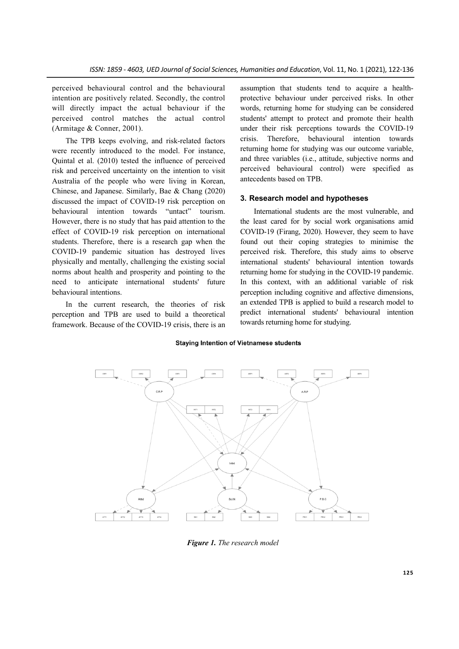perceived behavioural control and the behavioural intention are positively related. Secondly, the control will directly impact the actual behaviour if the perceived control matches the actual control (Armitage & Conner, 2001).

The TPB keeps evolving, and risk-related factors were recently introduced to the model. For instance, Quintal et al. (2010) tested the influence of perceived risk and perceived uncertainty on the intention to visit Australia of the people who were living in Korean, Chinese, and Japanese. Similarly, Bae & Chang (2020) discussed the impact of COVID-19 risk perception on behavioural intention towards "untact" tourism. However, there is no study that has paid attention to the effect of COVID-19 risk perception on international students. Therefore, there is a research gap when the COVID-19 pandemic situation has destroyed lives physically and mentally, challenging the existing social norms about health and prosperity and pointing to the need to anticipate international students' future behavioural intentions.

In the current research, the theories of risk perception and TPB are used to build a theoretical framework. Because of the COVID-19 crisis, there is an assumption that students tend to acquire a healthprotective behaviour under perceived risks. In other words, returning home for studying can be considered students' attempt to protect and promote their health under their risk perceptions towards the COVID-19 crisis. Therefore, behavioural intention towards returning home for studying was our outcome variable, and three variables (i.e., attitude, subjective norms and perceived behavioural control) were specified as antecedents based on TPB.

# **3. Research model and hypotheses**

International students are the most vulnerable, and the least cared for by social work organisations amid COVID-19 (Firang, 2020). However, they seem to have found out their coping strategies to minimise the perceived risk. Therefore, this study aims to observe international students' behavioural intention towards returning home for studying in the COVID-19 pandemic. In this context, with an additional variable of risk perception including cognitive and affective dimensions, an extended TPB is applied to build a research model to predict international students' behavioural intention towards returning home for studying.

# **Staying Intention of Vietnamese students**



*Figure 1. The research model*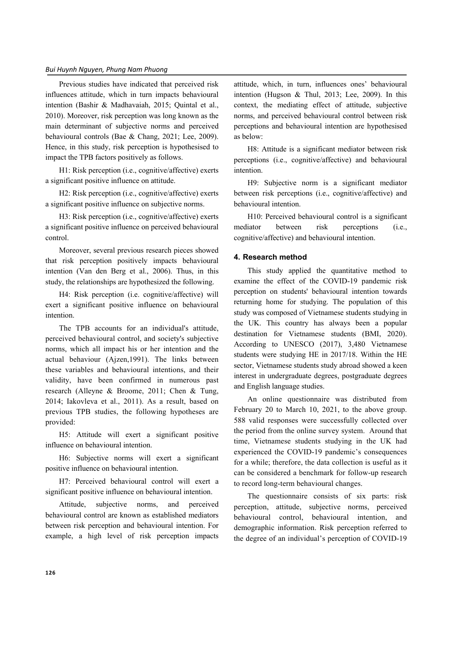Previous studies have indicated that perceived risk influences attitude, which in turn impacts behavioural intention (Bashir & Madhavaiah, 2015; Quintal et al., 2010). Moreover, risk perception was long known as the main determinant of subjective norms and perceived behavioural controls (Bae & Chang, 2021; Lee, 2009). Hence, in this study, risk perception is hypothesised to impact the TPB factors positively as follows.

H1: Risk perception (i.e., cognitive/affective) exerts a significant positive influence on attitude.

H2: Risk perception (i.e., cognitive/affective) exerts a significant positive influence on subjective norms.

H3: Risk perception (i.e., cognitive/affective) exerts a significant positive influence on perceived behavioural control.

Moreover, several previous research pieces showed that risk perception positively impacts behavioural intention (Van den Berg et al., 2006). Thus, in this study, the relationships are hypothesized the following.

H4: Risk perception (i.e. cognitive/affective) will exert a significant positive influence on behavioural intention.

The TPB accounts for an individual's attitude, perceived behavioural control, and society's subjective norms, which all impact his or her intention and the actual behaviour (Ajzen,1991). The links between these variables and behavioural intentions, and their validity, have been confirmed in numerous past research (Alleyne & Broome, 2011; Chen & Tung, 2014; Iakovleva et al., 2011). As a result, based on previous TPB studies, the following hypotheses are provided:

H5: Attitude will exert a significant positive influence on behavioural intention.

H6: Subjective norms will exert a significant positive influence on behavioural intention.

H7: Perceived behavioural control will exert a significant positive influence on behavioural intention.

Attitude, subjective norms, and perceived behavioural control are known as established mediators between risk perception and behavioural intention. For example, a high level of risk perception impacts

attitude, which, in turn, influences ones' behavioural intention (Hugson & Thul, 2013; Lee, 2009). In this context, the mediating effect of attitude, subjective norms, and perceived behavioural control between risk perceptions and behavioural intention are hypothesised as below:

H8: Attitude is a significant mediator between risk perceptions (i.e., cognitive/affective) and behavioural intention.

H9: Subjective norm is a significant mediator between risk perceptions (i.e., cognitive/affective) and behavioural intention.

H10: Perceived behavioural control is a significant mediator between risk perceptions (i.e., cognitive/affective) and behavioural intention.

### **4. Research method**

This study applied the quantitative method to examine the effect of the COVID-19 pandemic risk perception on students' behavioural intention towards returning home for studying. The population of this study was composed of Vietnamese students studying in the UK. This country has always been a popular destination for Vietnamese students (BMI, 2020). According to UNESCO (2017), 3,480 Vietnamese students were studying HE in 2017/18. Within the HE sector, Vietnamese students study abroad showed a keen interest in undergraduate degrees, postgraduate degrees and English language studies.

An online questionnaire was distributed from February 20 to March 10, 2021, to the above group. 588 valid responses were successfully collected over the period from the online survey system. Around that time, Vietnamese students studying in the UK had experienced the COVID-19 pandemic's consequences for a while; therefore, the data collection is useful as it can be considered a benchmark for follow-up research to record long-term behavioural changes.

The questionnaire consists of six parts: risk perception, attitude, subjective norms, perceived behavioural control, behavioural intention, and demographic information. Risk perception referred to the degree of an individual's perception of COVID-19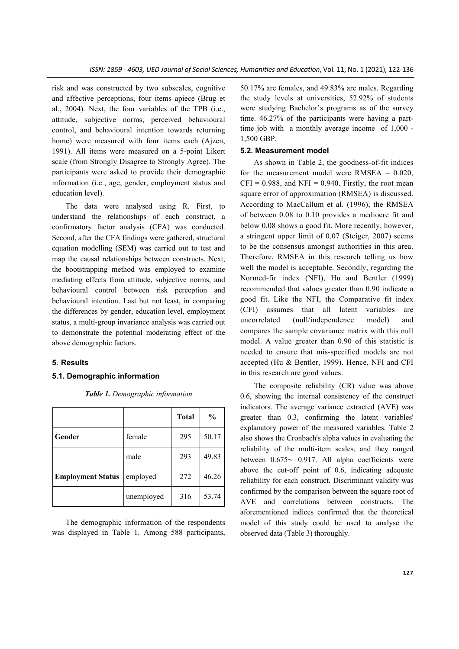risk and was constructed by two subscales, cognitive and affective perceptions, four items apiece (Brug et al., 2004). Next, the four variables of the TPB (i.e., attitude, subjective norms, perceived behavioural control, and behavioural intention towards returning home) were measured with four items each (Ajzen, 1991). All items were measured on a 5-point Likert scale (from Strongly Disagree to Strongly Agree). The participants were asked to provide their demographic information (i.e., age, gender, employment status and education level).

The data were analysed using R. First, to understand the relationships of each construct, a confirmatory factor analysis (CFA) was conducted. Second, after the CFA findings were gathered, structural equation modelling (SEM) was carried out to test and map the causal relationships between constructs. Next, the bootstrapping method was employed to examine mediating effects from attitude, subjective norms, and behavioural control between risk perception and behavioural intention. Last but not least, in comparing the differences by gender, education level, employment status, a multi-group invariance analysis was carried out to demonstrate the potential moderating effect of the above demographic factors.

#### **5. Results**

# **5.1. Demographic information**

|                          |            | <b>Total</b> | $\frac{0}{0}$ |
|--------------------------|------------|--------------|---------------|
| Gender                   | female     | 295          | 50.17         |
|                          | male       | 293          | 49.83         |
| <b>Employment Status</b> | employed   | 272          | 46.26         |
|                          | unemployed | 316          | 53.74         |

*Table 1. Demographic information*

The demographic information of the respondents was displayed in Table 1. Among 588 participants, 50.17% are females, and 49.83% are males. Regarding the study levels at universities, 52.92% of students were studying Bachelor's programs as of the survey time. 46.27% of the participants were having a parttime job with a monthly average income of 1,000 - 1,500 GBP.

#### **5.2. Measurement model**

As shown in Table 2, the goodness-of-fit indices for the measurement model were  $RMSEA = 0.020$ ,  $CFI = 0.988$ , and  $NFI = 0.940$ . Firstly, the root mean square error of approximation (RMSEA) is discussed. According to MacCallum et al. (1996), the RMSEA of between 0.08 to 0.10 provides a mediocre fit and below 0.08 shows a good fit. More recently, however, a stringent upper limit of 0.07 (Steiger, 2007) seems to be the consensus amongst authorities in this area. Therefore, RMSEA in this research telling us how well the model is acceptable. Secondly, regarding the Normed-fir index (NFI), Hu and Bentler (1999) recommended that values greater than 0.90 indicate a good fit. Like the NFI, the Comparative fit index (CFI) assumes that all latent variables are uncorrelated (null/independence model) and compares the sample covariance matrix with this null model. A value greater than 0.90 of this statistic is needed to ensure that mis-specified models are not accepted (Hu & Bentler, 1999). Hence, NFI and CFI in this research are good values.

The composite reliability (CR) value was above 0.6, showing the internal consistency of the construct indicators. The average variance extracted (AVE) was greater than 0.3, confirming the latent variables' explanatory power of the measured variables. Table 2 also shows the Cronbach's alpha values in evaluating the reliability of the multi-item scales, and they ranged between 0.675∼ 0.917. All alpha coefficients were above the cut-off point of 0.6, indicating adequate reliability for each construct. Discriminant validity was confirmed by the comparison between the square root of AVE and correlations between constructs. The aforementioned indices confirmed that the theoretical model of this study could be used to analyse the observed data (Table 3) thoroughly.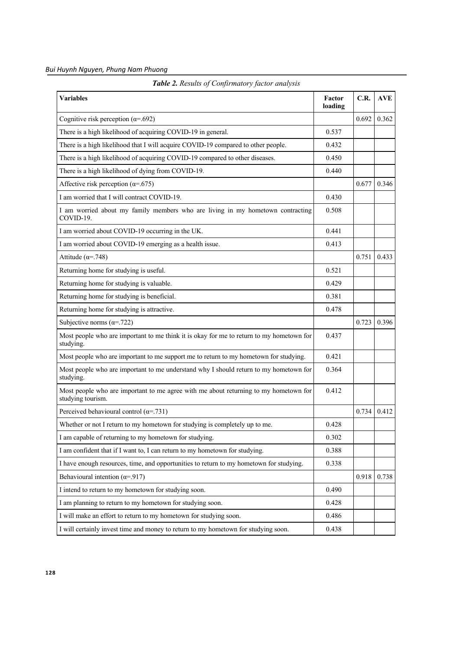| Bui Huynh Nguyen, Phung Nam Phuong |  |  |  |
|------------------------------------|--|--|--|
|------------------------------------|--|--|--|

| <b>Variables</b>                                                                                          | Factor<br>loading | C.R.  | <b>AVE</b> |
|-----------------------------------------------------------------------------------------------------------|-------------------|-------|------------|
| Cognitive risk perception ( $\alpha$ =.692)                                                               |                   | 0.692 | 0.362      |
| There is a high likelihood of acquiring COVID-19 in general.                                              | 0.537             |       |            |
| There is a high likelihood that I will acquire COVID-19 compared to other people.                         | 0.432             |       |            |
| There is a high likelihood of acquiring COVID-19 compared to other diseases.                              | 0.450             |       |            |
| There is a high likelihood of dying from COVID-19.                                                        | 0.440             |       |            |
| Affective risk perception ( $\alpha$ =.675)                                                               |                   | 0.677 | 0.346      |
| I am worried that I will contract COVID-19.                                                               | 0.430             |       |            |
| I am worried about my family members who are living in my hometown contracting<br>COVID-19.               | 0.508             |       |            |
| I am worried about COVID-19 occurring in the UK.                                                          | 0.441             |       |            |
| I am worried about COVID-19 emerging as a health issue.                                                   | 0.413             |       |            |
| Attitude ( $\alpha$ =.748)                                                                                |                   | 0.751 | 0.433      |
| Returning home for studying is useful.                                                                    | 0.521             |       |            |
| Returning home for studying is valuable.                                                                  | 0.429             |       |            |
| Returning home for studying is beneficial.                                                                | 0.381             |       |            |
| Returning home for studying is attractive.                                                                | 0.478             |       |            |
| Subjective norms ( $\alpha$ =.722)                                                                        |                   | 0.723 | 0.396      |
| Most people who are important to me think it is okay for me to return to my hometown for<br>studying.     | 0.437             |       |            |
| Most people who are important to me support me to return to my hometown for studying.                     | 0.421             |       |            |
| Most people who are important to me understand why I should return to my hometown for<br>studying.        | 0.364             |       |            |
| Most people who are important to me agree with me about returning to my hometown for<br>studying tourism. | 0.412             |       |            |
| Perceived behavioural control ( $\alpha$ =.731)                                                           |                   | 0.734 | 0.412      |
| Whether or not I return to my hometown for studying is completely up to me.                               | 0.428             |       |            |
| I am capable of returning to my hometown for studying.                                                    | 0.302             |       |            |
| I am confident that if I want to, I can return to my hometown for studying.                               | 0.388             |       |            |
| I have enough resources, time, and opportunities to return to my hometown for studying.                   | 0.338             |       |            |
| Behavioural intention ( $\alpha$ =.917)                                                                   |                   | 0.918 | 0.738      |
| I intend to return to my hometown for studying soon.                                                      | 0.490             |       |            |
| I am planning to return to my hometown for studying soon.                                                 | 0.428             |       |            |
| I will make an effort to return to my hometown for studying soon.                                         | 0.486             |       |            |
| I will certainly invest time and money to return to my hometown for studying soon.                        | 0.438             |       |            |

*Table 2. Results of Confirmatory factor analysis*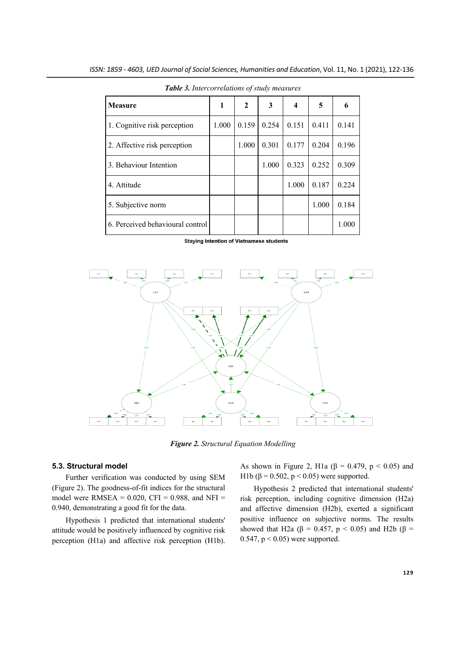| <b>Measure</b>                   | 1     | $\mathbf{2}$ | 3     | 4     | 5     | 6     |
|----------------------------------|-------|--------------|-------|-------|-------|-------|
| 1. Cognitive risk perception     | 1.000 | 0.159        | 0.254 | 0.151 | 0.411 | 0.141 |
| 2. Affective risk perception     |       | 1.000        | 0.301 | 0.177 | 0.204 | 0.196 |
| 3. Behaviour Intention           |       |              | 1.000 | 0.323 | 0.252 | 0.309 |
| 4. Attitude                      |       |              |       | 1.000 | 0.187 | 0.224 |
| 5. Subjective norm               |       |              |       |       | 1.000 | 0.184 |
| 6. Perceived behavioural control |       |              |       |       |       | 1.000 |

*Table 3. Intercorrelations of study measures*

**Staying Intention of Vietnamese students** 



*Figure 2. Structural Equation Modelling*

### **5.3. Structural model**

Further verification was conducted by using SEM (Figure 2). The goodness-of-fit indices for the structural model were  $RMSEA = 0.020$ ,  $CFI = 0.988$ , and  $NFI =$ 0.940, demonstrating a good fit for the data.

Hypothesis 1 predicted that international students' attitude would be positively influenced by cognitive risk perception (H1a) and affective risk perception (H1b).

As shown in Figure 2, H1a ( $\beta$  = 0.479, p < 0.05) and H1b (β = 0.502, p < 0.05) were supported.

Hypothesis 2 predicted that international students' risk perception, including cognitive dimension (H2a) and affective dimension (H2b), exerted a significant positive influence on subjective norms. The results showed that H2a ( $\beta$  = 0.457, p < 0.05) and H2b ( $\beta$  = 0.547,  $p < 0.05$ ) were supported.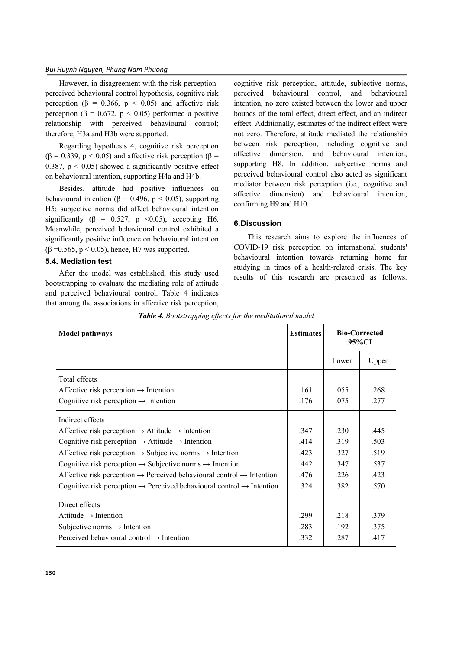However, in disagreement with the risk perceptionperceived behavioural control hypothesis, cognitive risk perception ( $\beta$  = 0.366,  $p$  < 0.05) and affective risk perception ( $\beta = 0.672$ ,  $p < 0.05$ ) performed a positive relationship with perceived behavioural control; therefore, H3a and H3b were supported.

Regarding hypothesis 4, cognitive risk perception ( $\beta$  = 0.339, p < 0.05) and affective risk perception ( $\beta$  = 0.387,  $p \le 0.05$ ) showed a significantly positive effect on behavioural intention, supporting H4a and H4b.

Besides, attitude had positive influences on behavioural intention ( $\beta = 0.496$ , p < 0.05), supporting H5; subjective norms did affect behavioural intention significantly ( $\beta = 0.527$ , p <0.05), accepting H6. Meanwhile, perceived behavioural control exhibited a significantly positive influence on behavioural intention (β = 0.565, p < 0.05), hence, H7 was supported.

# **5.4. Mediation test**

After the model was established, this study used bootstrapping to evaluate the mediating role of attitude and perceived behavioural control. Table 4 indicates that among the associations in affective risk perception,

cognitive risk perception, attitude, subjective norms, perceived behavioural control, and behavioural intention, no zero existed between the lower and upper bounds of the total effect, direct effect, and an indirect effect. Additionally, estimates of the indirect effect were not zero. Therefore, attitude mediated the relationship between risk perception, including cognitive and affective dimension, and behavioural intention, supporting H8. In addition, subjective norms and perceived behavioural control also acted as significant mediator between risk perception (i.e., cognitive and affective dimension) and behavioural intention, confirming H9 and H10.

# **6.Discussion**

This research aims to explore the influences of COVID-19 risk perception on international students' behavioural intention towards returning home for studying in times of a health-related crisis. The key results of this research are presented as follows.

| Model pathways                                                                                | <b>Estimates</b> | <b>Bio-Corrected</b><br>95%CI |       |
|-----------------------------------------------------------------------------------------------|------------------|-------------------------------|-------|
|                                                                                               |                  | Lower                         | Upper |
| Total effects                                                                                 |                  |                               |       |
| Affective risk perception $\rightarrow$ Intention                                             | .161             | .055                          | .268  |
| Cognitive risk perception $\rightarrow$ Intention                                             | .176             | .075                          | .277  |
| Indirect effects                                                                              |                  |                               |       |
| Affective risk perception $\rightarrow$ Attitude $\rightarrow$ Intention                      | .347             | .230                          | .445  |
| Cognitive risk perception $\rightarrow$ Attitude $\rightarrow$ Intention                      | .414             | .319                          | .503  |
| Affective risk perception $\rightarrow$ Subjective norms $\rightarrow$ Intention              | .423             | .327                          | .519  |
| Cognitive risk perception $\rightarrow$ Subjective norms $\rightarrow$ Intention              | .442             | .347                          | .537  |
| Affective risk perception $\rightarrow$ Perceived behavioural control $\rightarrow$ Intention | .476             | .226                          | .423  |
| Cognitive risk perception $\rightarrow$ Perceived behavioural control $\rightarrow$ Intention | .324             | .382                          | .570  |
| Direct effects                                                                                |                  |                               |       |
| Attitude $\rightarrow$ Intention                                                              | .299             | .218                          | .379  |
| Subjective norms $\rightarrow$ Intention                                                      | .283             | .192.                         | .375  |
| Perceived behavioural control $\rightarrow$ Intention                                         | .332             | .287                          | .417  |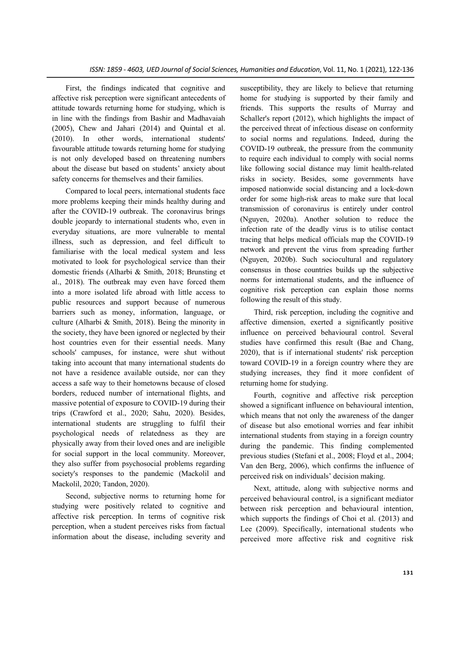First, the findings indicated that cognitive and affective risk perception were significant antecedents of attitude towards returning home for studying, which is in line with the findings from Bashir and Madhavaiah (2005), Chew and Jahari (2014) and Quintal et al. (2010). In other words, international students' favourable attitude towards returning home for studying is not only developed based on threatening numbers about the disease but based on students' anxiety about safety concerns for themselves and their families.

Compared to local peers, international students face more problems keeping their minds healthy during and after the COVID-19 outbreak. The coronavirus brings double jeopardy to international students who, even in everyday situations, are more vulnerable to mental illness, such as depression, and feel difficult to familiarise with the local medical system and less motivated to look for psychological service than their domestic friends (Alharbi & Smith, 2018; Brunsting et al., 2018). The outbreak may even have forced them into a more isolated life abroad with little access to public resources and support because of numerous barriers such as money, information, language, or culture (Alharbi & Smith, 2018). Being the minority in the society, they have been ignored or neglected by their host countries even for their essential needs. Many schools' campuses, for instance, were shut without taking into account that many international students do not have a residence available outside, nor can they access a safe way to their hometowns because of closed borders, reduced number of international flights, and massive potential of exposure to COVID-19 during their trips (Crawford et al., 2020; Sahu, 2020). Besides, international students are struggling to fulfil their psychological needs of relatedness as they are physically away from their loved ones and are ineligible for social support in the local community. Moreover, they also suffer from psychosocial problems regarding society's responses to the pandemic (Mackolil and Mackolil, 2020; Tandon, 2020).

Second, subjective norms to returning home for studying were positively related to cognitive and affective risk perception. In terms of cognitive risk perception, when a student perceives risks from factual information about the disease, including severity and susceptibility, they are likely to believe that returning home for studying is supported by their family and friends. This supports the results of Murray and Schaller's report (2012), which highlights the impact of the perceived threat of infectious disease on conformity to social norms and regulations. Indeed, during the COVID-19 outbreak, the pressure from the community to require each individual to comply with social norms like following social distance may limit health-related risks in society. Besides, some governments have imposed nationwide social distancing and a lock-down order for some high-risk areas to make sure that local transmission of coronavirus is entirely under control (Nguyen, 2020a). Another solution to reduce the infection rate of the deadly virus is to utilise contact tracing that helps medical officials map the COVID-19 network and prevent the virus from spreading further (Nguyen, 2020b). Such sociocultural and regulatory consensus in those countries builds up the subjective norms for international students, and the influence of cognitive risk perception can explain those norms following the result of this study.

Third, risk perception, including the cognitive and affective dimension, exerted a significantly positive influence on perceived behavioural control. Several studies have confirmed this result (Bae and Chang, 2020), that is if international students' risk perception toward COVID-19 in a foreign country where they are studying increases, they find it more confident of returning home for studying.

Fourth, cognitive and affective risk perception showed a significant influence on behavioural intention, which means that not only the awareness of the danger of disease but also emotional worries and fear inhibit international students from staying in a foreign country during the pandemic. This finding complemented previous studies (Stefani et al., 2008; Floyd et al., 2004; Van den Berg, 2006), which confirms the influence of perceived risk on individuals' decision making.

Next, attitude, along with subjective norms and perceived behavioural control, is a significant mediator between risk perception and behavioural intention, which supports the findings of Choi et al. (2013) and Lee (2009). Specifically, international students who perceived more affective risk and cognitive risk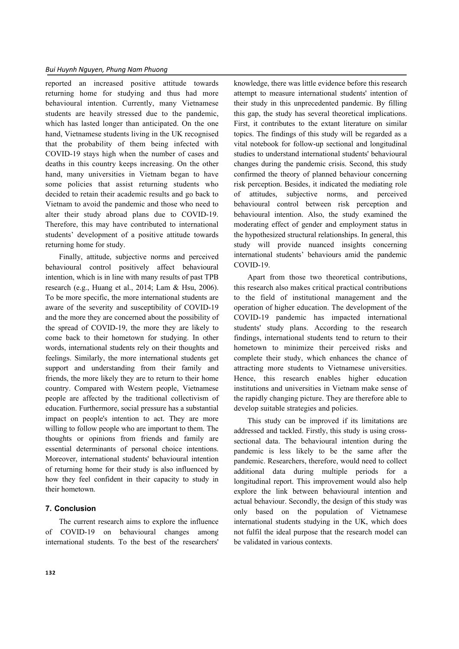reported an increased positive attitude towards returning home for studying and thus had more behavioural intention. Currently, many Vietnamese students are heavily stressed due to the pandemic, which has lasted longer than anticipated. On the one hand, Vietnamese students living in the UK recognised that the probability of them being infected with COVID-19 stays high when the number of cases and deaths in this country keeps increasing. On the other hand, many universities in Vietnam began to have some policies that assist returning students who decided to retain their academic results and go back to Vietnam to avoid the pandemic and those who need to alter their study abroad plans due to COVID-19. Therefore, this may have contributed to international students' development of a positive attitude towards returning home for study.

Finally, attitude, subjective norms and perceived behavioural control positively affect behavioural intention, which is in line with many results of past TPB research (e.g., Huang et al., 2014; Lam & Hsu, 2006). To be more specific, the more international students are aware of the severity and susceptibility of COVID-19 and the more they are concerned about the possibility of the spread of COVID-19, the more they are likely to come back to their hometown for studying. In other words, international students rely on their thoughts and feelings. Similarly, the more international students get support and understanding from their family and friends, the more likely they are to return to their home country. Compared with Western people, Vietnamese people are affected by the traditional collectivism of education. Furthermore, social pressure has a substantial impact on people's intention to act. They are more willing to follow people who are important to them. The thoughts or opinions from friends and family are essential determinants of personal choice intentions. Moreover, international students' behavioural intention of returning home for their study is also influenced by how they feel confident in their capacity to study in their hometown.

#### **7. Conclusion**

The current research aims to explore the influence of COVID-19 on behavioural changes among international students. To the best of the researchers' knowledge, there was little evidence before this research attempt to measure international students' intention of their study in this unprecedented pandemic. By filling this gap, the study has several theoretical implications. First, it contributes to the extant literature on similar topics. The findings of this study will be regarded as a vital notebook for follow-up sectional and longitudinal studies to understand international students' behavioural changes during the pandemic crisis. Second, this study confirmed the theory of planned behaviour concerning risk perception. Besides, it indicated the mediating role of attitudes, subjective norms, and perceived behavioural control between risk perception and behavioural intention. Also, the study examined the moderating effect of gender and employment status in the hypothesized structural relationships. In general, this study will provide nuanced insights concerning international students' behaviours amid the pandemic COVID-19.

Apart from those two theoretical contributions, this research also makes critical practical contributions to the field of institutional management and the operation of higher education. The development of the COVID-19 pandemic has impacted international students' study plans. According to the research findings, international students tend to return to their hometown to minimize their perceived risks and complete their study, which enhances the chance of attracting more students to Vietnamese universities. Hence, this research enables higher education institutions and universities in Vietnam make sense of the rapidly changing picture. They are therefore able to develop suitable strategies and policies.

This study can be improved if its limitations are addressed and tackled. Firstly, this study is using crosssectional data. The behavioural intention during the pandemic is less likely to be the same after the pandemic. Researchers, therefore, would need to collect additional data during multiple periods for a longitudinal report. This improvement would also help explore the link between behavioural intention and actual behaviour. Secondly, the design of this study was only based on the population of Vietnamese international students studying in the UK, which does not fulfil the ideal purpose that the research model can be validated in various contexts.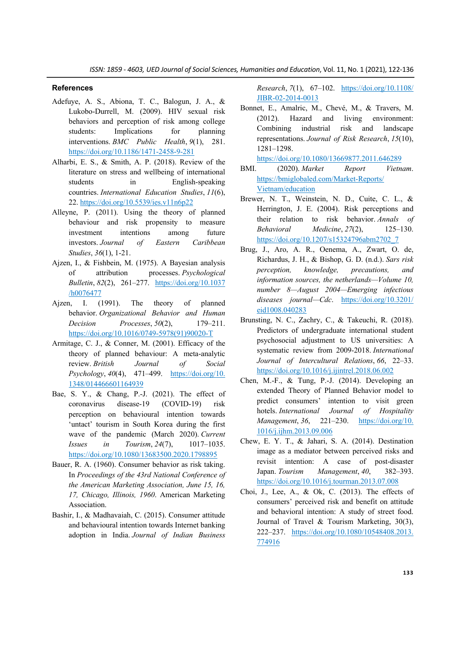#### **References**

- Adefuye, A. S., Abiona, T. C., Balogun, J. A., & Lukobo-Durrell, M. (2009). HIV sexual risk behaviors and perception of risk among college students: Implications for planning interventions. *BMC Public Health*, *9*(1), 281. https://doi.org/10.1186/1471-2458-9-281
- Alharbi, E. S., & Smith, A. P. (2018). Review of the literature on stress and wellbeing of international students in English-speaking countries. *International Education Studies*, *11*(6), 22. https://doi.org/10.5539/ies.v11n6p22
- Alleyne, P. (2011). Using the theory of planned behaviour and risk propensity to measure investment intentions among future investors. *Journal of Eastern Caribbean Studies*, *36*(1), 1-21.
- Ajzen, I., & Fishbein, M. (1975). A Bayesian analysis of attribution processes. *Psychological Bulletin*, *82*(2), 261–277. https://doi.org/10.1037 /h0076477
- Ajzen, I. (1991). The theory of planned behavior. *Organizational Behavior and Human Decision Processes*, *50*(2), 179–211. https://doi.org/10.1016/0749-5978(91)90020-T
- Armitage, C. J., & Conner, M. (2001). Efficacy of the theory of planned behaviour: A meta-analytic review. *British Journal of Social Psychology*, *40*(4), 471–499. https://doi.org/10. 1348/014466601164939
- Bae, S. Y., & Chang, P.-J. (2021). The effect of coronavirus disease-19 (COVID-19) risk perception on behavioural intention towards 'untact' tourism in South Korea during the first wave of the pandemic (March 2020). *Current Issues in Tourism*, *24*(7), 1017–1035. https://doi.org/10.1080/13683500.2020.1798895
- Bauer, R. A. (1960). Consumer behavior as risk taking. In *Proceedings of the 43rd National Conference of the American Marketing Association, June 15, 16, 17, Chicago, Illinois, 1960*. American Marketing Association.
- Bashir, I., & Madhavaiah, C. (2015). Consumer attitude and behavioural intention towards Internet banking adoption in India. *Journal of Indian Business*

*Research*, *7*(1), 67–102. https://doi.org/10.1108/ JIBR-02-2014-0013

Bonnet, E., Amalric, M., Chevé, M., & Travers, M. (2012). Hazard and living environment: Combining industrial risk and landscape representations. *Journal of Risk Research*, *15*(10), 1281–1298.

https://doi.org/10.1080/13669877.2011.646289

- BMI. (2020). *Market Report Vietnam*. https://bmiglobaled.com/Market-Reports/ Vietnam/education
- Brewer, N. T., Weinstein, N. D., Cuite, C. L., & Herrington, J. E. (2004). Risk perceptions and their relation to risk behavior. *Annals of Behavioral Medicine*, *27*(2), 125–130. https://doi.org/10.1207/s15324796abm2702\_7
- Brug, J., Aro, A. R., Oenema, A., Zwart, O. de, Richardus, J. H., & Bishop, G. D. (n.d.). *Sars risk perception, knowledge, precautions, and information sources, the netherlands—Volume 10, number 8—August 2004—Emerging infectious diseases journal—Cdc*. https://doi.org/10.3201/ eid1008.040283
- Brunsting, N. C., Zachry, C., & Takeuchi, R. (2018). Predictors of undergraduate international student psychosocial adjustment to US universities: A systematic review from 2009-2018. *International Journal of Intercultural Relations*, *66*, 22–33. https://doi.org/10.1016/j.ijintrel.2018.06.002
- Chen, M.-F., & Tung, P.-J. (2014). Developing an extended Theory of Planned Behavior model to predict consumers' intention to visit green hotels. *International Journal of Hospitality Management*, *36*, 221–230. https://doi.org/10. 1016/j.ijhm.2013.09.006
- Chew, E. Y. T., & Jahari, S. A. (2014). Destination image as a mediator between perceived risks and revisit intention: A case of post-disaster Japan. *Tourism Management*, *40*, 382–393. https://doi.org/10.1016/j.tourman.2013.07.008
- Choi, J., Lee, A., & Ok, C. (2013). The effects of consumers' perceived risk and benefit on attitude and behavioral intention: A study of street food. Journal of Travel & Tourism Marketing, 30(3), 222–237. https://doi.org/10.1080/10548408.2013. 774916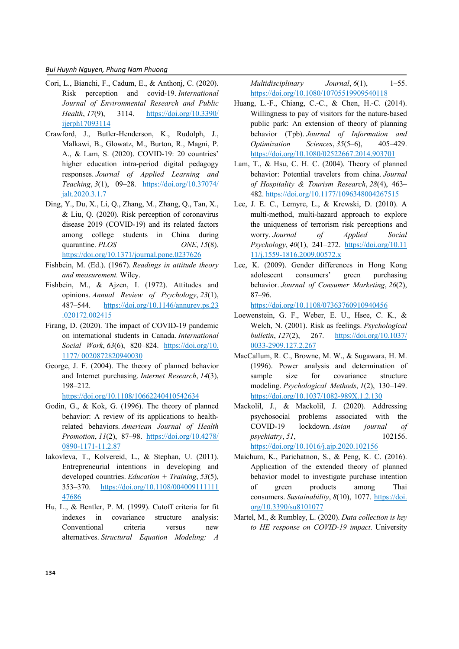- Cori, L., Bianchi, F., Cadum, E., & Anthonj, C. (2020). Risk perception and covid-19. *International Journal of Environmental Research and Public Health*, *17*(9), 3114. https://doi.org/10.3390/ ijerph17093114
- Crawford, J., Butler-Henderson, K., Rudolph, J., Malkawi, B., Glowatz, M., Burton, R., Magni, P. A., & Lam, S. (2020). COVID-19: 20 countries' higher education intra-period digital pedagogy responses. *Journal of Applied Learning and Teaching*, *3*(1), 09–28. https://doi.org/10.37074/ jalt.2020.3.1.7
- Ding, Y., Du, X., Li, Q., Zhang, M., Zhang, Q., Tan, X., & Liu, Q. (2020). Risk perception of coronavirus disease 2019 (COVID-19) and its related factors among college students in China during quarantine. *PLOS ONE*, 15(8). https://doi.org/10.1371/journal.pone.0237626
- Fishbein, M. (Ed.). (1967). *Readings in attitude theory and measurement.* Wiley.
- Fishbein, M., & Ajzen, I. (1972). Attitudes and opinions. *Annual Review of Psychology*, *23*(1), 487–544. https://doi.org/10.1146/annurev.ps.23 .020172.002415
- Firang, D. (2020). The impact of COVID-19 pandemic on international students in Canada. *International Social Work*, *63*(6), 820–824. https://doi.org/10. 1177/ 0020872820940030
- George, J. F. (2004). The theory of planned behavior and Internet purchasing. *Internet Research*, *14*(3), 198–212.

https://doi.org/10.1108/10662240410542634

- Godin, G., & Kok, G. (1996). The theory of planned behavior: A review of its applications to healthrelated behaviors. *American Journal of Health Promotion*, *11*(2), 87–98. https://doi.org/10.4278/ 0890-1171-11.2.87
- Iakovleva, T., Kolvereid, L., & Stephan, U. (2011). Entrepreneurial intentions in developing and developed countries. *Education + Training*, *53*(5), 353–370. https://doi.org/10.1108/004009111111 47686
- Hu, L., & Bentler, P. M. (1999). Cutoff criteria for fit indexes in covariance structure analysis: Conventional criteria versus new alternatives. *Structural Equation Modeling: A*

*Multidisciplinary Journal*, *6*(1), 1–55. https://doi.org/10.1080/10705519909540118

- Huang, L.-F., Chiang, C.-C., & Chen, H.-C. (2014). Willingness to pay of visitors for the nature-based public park: An extension of theory of planning behavior (Tpb). *Journal of Information and Optimization Sciences*, *35*(5–6), 405–429. https://doi.org/10.1080/02522667.2014.903701
- Lam, T., & Hsu, C. H. C. (2004). Theory of planned behavior: Potential travelers from china. *Journal of Hospitality & Tourism Research*, *28*(4), 463– 482. https://doi.org/10.1177/1096348004267515
- Lee, J. E. C., Lemyre, L., & Krewski, D. (2010). A multi-method, multi-hazard approach to explore the uniqueness of terrorism risk perceptions and worry. *Journal of Applied Social Psychology*, *40*(1), 241–272. https://doi.org/10.11 11/j.1559-1816.2009.00572.x
- Lee, K. (2009). Gender differences in Hong Kong adolescent consumers' green purchasing behavior. *Journal of Consumer Marketing*, *26*(2), 87–96.

https://doi.org/10.1108/07363760910940456

- Loewenstein, G. F., Weber, E. U., Hsee, C. K., & Welch, N. (2001). Risk as feelings. *Psychological bulletin*, *127*(2), 267. https://doi.org/10.1037/ 0033-2909.127.2.267
- MacCallum, R. C., Browne, M. W., & Sugawara, H. M. (1996). Power analysis and determination of sample size for covariance structure modeling. *Psychological Methods*, *1*(2), 130–149. https://doi.org/10.1037/1082-989X.1.2.130
- Mackolil, J., & Mackolil, J. (2020). Addressing psychosocial problems associated with the COVID-19 lockdown. *Asian journal of psychiatry*, *51*, 102156. https://doi.org/10.1016/j.ajp.2020.102156
- Maichum, K., Parichatnon, S., & Peng, K. C. (2016). Application of the extended theory of planned behavior model to investigate purchase intention of green products among Thai consumers. *Sustainability*, 8(10), 1077. https://doi. org/10.3390/su8101077
- Martel, M., & Rumbley, L. (2020). *Data collection is key to HE response on COVID-19 impact*. University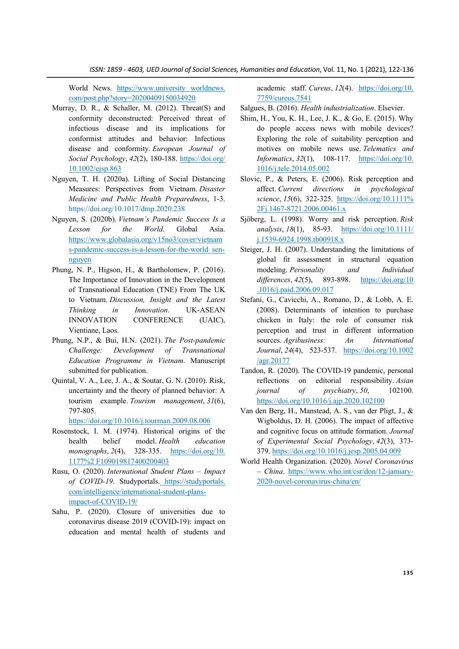*ISSN: 1859 - 4603, UED Journal of Social Sciences, Humanities and Education*, Vol. 11, No. 1 (2021), 122-136

World News. https://www.university worldnews. com/post.php?story=20200409150034920

- Murray, D. R., & Schaller, M. (2012). Threat(S) and conformity deconstructed: Perceived threat of infectious disease and its implications for conformist attitudes and behavior: Infectious disease and conformity. *European Journal of Social Psychology*, *42*(2), 180-188. https://doi.org/ 10.1002/ejsp.863
- Nguyen, T. H. (2020a). Lifting of Social Distancing Measures: Perspectives from Vietnam. *Disaster Medicine and Public Health Preparedness*, 1-3. https://doi.org/10.1017/dmp.2020.238
- Nguyen, S. (2020b). *Vietnam's Pandemic Success Is a Lesson for the World*. Global Asia. https://www.globalasia.org/v15no3/cover/vietnam s-pandemic-success-is-a-lesson-for-the-world\_sennguyen
- Phung, N. P., Higson, H., & Bartholomew, P. (2016). The Importance of Innovation in the Development of Transnational Education (TNE) From The UK to Vietnam. *Discussion, Insight and the Latest Thinking in Innovation*. UK-ASEAN INNOVATION CONFERENCE (UAIC), Vientiane, Laos.
- Phung, N.P., & Bui, H.N. (2021). *The Post-pandemic Challenge: Development of Transnational Education Programme in Vietnam*. Manuscript submitted for publication.
- Quintal, V. A., Lee, J. A., & Soutar, G. N. (2010). Risk, uncertainty and the theory of planned behavior: A tourism example. *Tourism management*, *31*(6), 797-805.

https://doi.org/10.1016/j.tourman.2009.08.006

- Rosenstock, I. M. (1974). Historical origins of the health belief model. *Health education monographs*, *2*(4), 328-335. https://doi.org/10. 1177%2 F109019817400200403
- Rusu, O. (2020). *International Student Plans – Impact of COVID-19*. Studyportals. https://studyportals. com/intelligence/international-student-plansimpact-of-COVID-19/
- Sahu, P. (2020). Closure of universities due to coronavirus disease 2019 (COVID-19): impact on education and mental health of students and

academic staff. *Cureus*, *12*(4). https://doi.org/10. 7759/cureus.7541

Salgues, B. (2016). *Health industrialization*. Elsevier.

- Shim, H., You, K. H., Lee, J. K., & Go, E. (2015). Why do people access news with mobile devices? Exploring the role of suitability perception and motives on mobile news use. *Telematics and Informatics*, *32*(1), 108-117. https://doi.org/10. 1016/j.tele.2014.05.002
- Slovic, P., & Peters, E. (2006). Risk perception and affect. *Current directions in psychological science*, *15*(6), 322-325. https://doi.org/10.1111% 2Fj.1467-8721.2006.00461.x
- Sjöberg, L. (1998). Worry and risk perception. *Risk analysis*, *18*(1), 85-93. https://doi.org/10.1111/ j.1539-6924.1998.tb00918.x
- Steiger, J. H. (2007). Understanding the limitations of global fit assessment in structural equation modeling. *Personality and Individual differences*, *42*(5), 893-898. https://doi.org/10 .1016/j.paid.2006.09.017
- Stefani, G., Cavicchi, A., Romano, D., & Lobb, A. E. (2008). Determinants of intention to purchase chicken in Italy: the role of consumer risk perception and trust in different information sources. *Agribusiness: An International Journal*, *24*(4), 523-537. https://doi.org/10.1002 /agr.20177
- Tandon, R. (2020). The COVID-19 pandemic, personal reflections on editorial responsibility. *Asian journal of psychiatry*, *50*, 102100. https://doi.org/10.1016/j.ajp.2020.102100
- Van den Berg, H., Manstead, A. S., van der Pligt, J., & Wigboldus, D. H. (2006). The impact of affective and cognitive focus on attitude formation. *Journal of Experimental Social Psychology*, *42*(3), 373- 379. https://doi.org/10.1016/j.jesp.2005.04.009
- World Health Organization. (2020). *Novel Coronavirus – China*. https://www.who.int/csr/don/12-january-2020-novel-coronavirus-china/en/